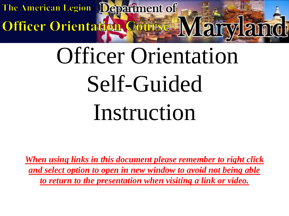Maryland Officer Orientation Course

# Officer Orientation Self-Guided Instruction

*When using links in this document please remember to right click and select option to open in new window to avoid not being able to return to the presentation when visiting a link or video.*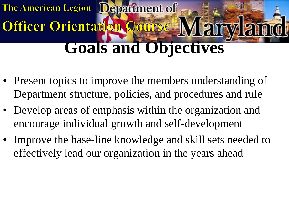#### **The American Legion** Department of Officer Orientation Cour **Goals and Objectives**

- Present topics to improve the members understanding of Department structure, policies, and procedures and rule
- Develop areas of emphasis within the organization and encourage individual growth and self-development
- Improve the base-line knowledge and skill sets needed to effectively lead our organization in the years ahead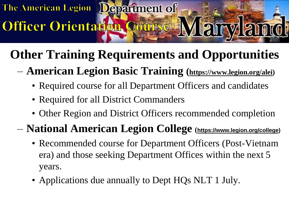Officer Orientation Course

# **Other Training Requirements and Opportunities**

#### – **American Legion Basic Training (<https://www.legion.org/alei>)**

- Required course for all Department Officers and candidates
- Required for all District Commanders
- Other Region and District Officers recommended completion

#### – **National American Legion College (<https://www.legion.org/college>)**

- Recommended course for Department Officers (Post-Vietnam era) and those seeking Department Offices within the next 5 years.
- Applications due annually to Dept HQs NLT 1 July.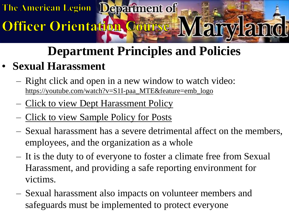

# Officer Orientation Course

# **Department Principles and Policies**

#### • **Sexual Harassment**

- Right click and open in a new window to watch video: [https://youtube.com/watch?v=S1I-paa\\_MTE&feature=emb\\_logo](https://youtube.com/watch?v=S1I-paa_MTE&feature=emb_logo)
- [Click to view Dept Harassment Policy](http://mdlegion.org/Forms/EEO-Discrimination-Sexual Harassment Policy.pdf)
- [Click to view Sample Policy for Posts](http://mdlegion.org/Forms/Sample Freedom from Harassment policy (Dec 2017).doc)
- Sexual harassment has a severe detrimental affect on the members, employees, and the organization as a whole
- It is the duty to of everyone to foster a climate free from Sexual Harassment, and providing a safe reporting environment for victims.
- Sexual harassment also impacts on volunteer members and safeguards must be implemented to protect everyone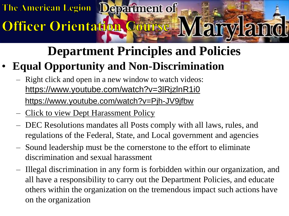# Officer Orientation Course

# **Department Principles and Policies**

#### • **Equal Opportunity and Non-Discrimination**

- Right click and open in a new window to watch videos: <https://www.youtube.com/watch?v=3lRjzlnR1i0> <https://www.youtube.com/watch?v=Pjh-JV9jfbw>
- [Click to view Dept Harassment Policy](http://mdlegion.org/Forms/EEO-Discrimination-Sexual Harassment Policy.pdf)
- DEC Resolutions mandates all Posts comply with all laws, rules, and regulations of the Federal, State, and Local government and agencies
- Sound leadership must be the cornerstone to the effort to eliminate discrimination and sexual harassment
- Illegal discrimination in any form is forbidden within our organization, and all have a responsibility to carry out the Department Policies, and educate others within the organization on the tremendous impact such actions have on the organization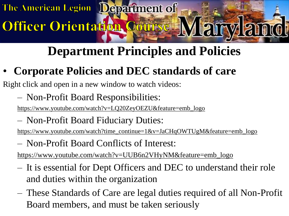## **Department Principles and Policies**

• **Corporate Policies and DEC standards of care**

Right click and open in a new window to watch videos:

Officer Orientation Course

– Non-Profit Board Responsibilities:

[https://www.youtube.com/watch?v=LQ20ZeyOEZU&feature=emb\\_logo](https://www.youtube.com/watch?v=LQ20ZeyOEZU&feature=emb_logo)

– Non-Profit Board Fiduciary Duties:

[https://www.youtube.com/watch?time\\_continue=1&v=JaCHqOWTUgM&feature=emb\\_logo](https://www.youtube.com/watch?time_continue=1&v=JaCHqOWTUgM&feature=emb_logo)

– Non-Profit Board Conflicts of Interest:

[https://www.youtube.com/watch?v=UUB6n2VHyNM&feature=emb\\_logo](https://www.youtube.com/watch?v=UUB6n2VHyNM&feature=emb_logo)

- It is essential for Dept Officers and DEC to understand their role and duties within the organization
- These Standards of Care are legal duties required of all Non-Profit Board members, and must be taken seriously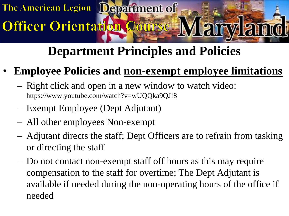## **Department Principles and Policies**

- **Employee Policies and non-exempt employee limitations**
	- Right click and open in a new window to watch video: <https://www.youtube.com/watch?v=wUQQka9QJf8>
	- Exempt Employee (Dept Adjutant)

Officer Orientation Course

- All other employees Non-exempt
- Adjutant directs the staff; Dept Officers are to refrain from tasking or directing the staff
- Do not contact non-exempt staff off hours as this may require compensation to the staff for overtime; The Dept Adjutant is available if needed during the non-operating hours of the office if needed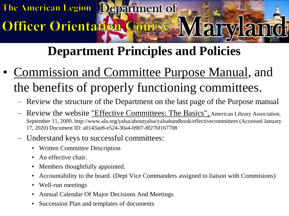## **Department Principles and Policies**

- [Commission and Committee Purpose Manual,](http://mdlegion.org/Forms/MD Outline Authorization.pdf) and the benefits of properly functioning committees.
	- Review the structure of the Department on the last page of the Purpose manual
	- Review the website ["Effective Committees: The Basics",](http://www.ala.org/yalsa/aboutyalsa/yalsahandbook/effectivecommittees) American Library Association, September 11, 2009. http://www.ala.org/yalsa/aboutyalsa/yalsahandbook/effectivecommittees (Accessed January 17, 2020) Document ID: a0143ae8-e524-30a4-b907-8f276f167708
	- Understand keys to successful committees:

Officer Orientation Course

- Written Committee Description
- An effective chair.
- Members thoughtfully appointed.
- Accountability to the board. (Dept Vice Commanders assigned to liaison with Commisions)
- Well-run meetings
- Annual Calendar Of Major Decisions And Meetings
- Succession Plan and templates of documents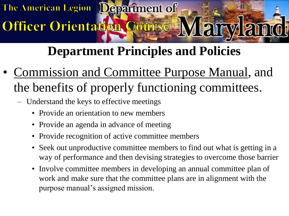## **Department Principles and Policies**

- [Commission and Committee Purpose Manual,](http://mdlegion.org/Forms/MD Outline Authorization.pdf) and the benefits of properly functioning committees.
	- Understand the keys to effective meetings

Officer Orientation Course

- Provide an orientation to new members
- Provide an agenda in advance of meeting
- Provide recognition of active committee members
- Seek out unproductive committee members to find out what is getting in a way of performance and then devising strategies to overcome those barrier
- Involve committee members in developing an annual committee plan of work and make sure that the committee plans are in alignment with the purpose manual's assigned mission.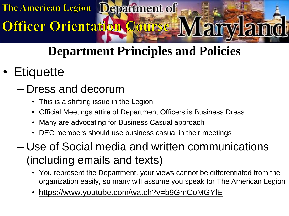### **Department Principles and Policies**

• Etiquette

#### – Dress and decorum

• This is a shifting issue in the Legion

Officer Orientation Course

- Official Meetings attire of Department Officers is Business Dress
- Many are advocating for Business Casual approach
- DEC members should use business casual in their meetings

#### – Use of Social media and written communications (including emails and texts)

- You represent the Department, your views cannot be differentiated from the organization easily, so many will assume you speak for The American Legion
- <https://www.youtube.com/watch?v=b9GmCoMGYlE>